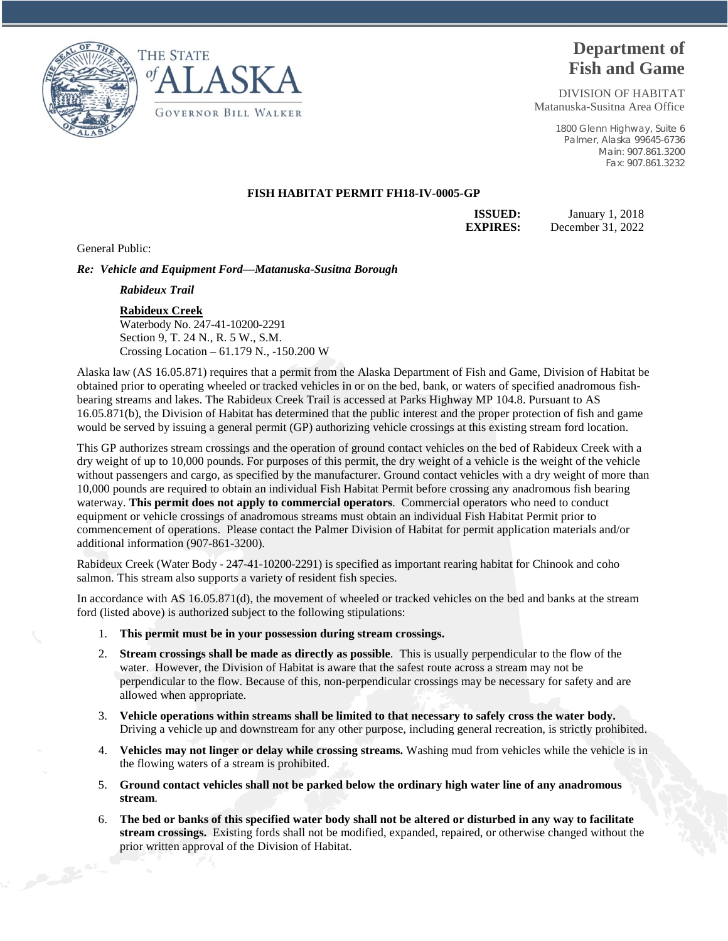



# **Department of Fish and Game**

DIVISION OF HABITAT Matanuska-Susitna Area Office

> 1800 Glenn Highway, Suite 6 Palmer, Alaska 99645-6736 Main: 907.861.3200 Fax: 907.861.3232

## **FISH HABITAT PERMIT FH18-IV-0005-GP**

**ISSUED:** January 1, 2018 **EXPIRES:** December 31, 2022

General Public:

### *Re: Vehicle and Equipment Ford—Matanuska-Susitna Borough*

*Rabideux Trail*

#### **Rabideux Creek**

Waterbody No. 247-41-10200-2291 Section 9, T. 24 N., R. 5 W., S.M. Crossing Location – 61.179 N., -150.200 W

Alaska law (AS 16.05.871) requires that a permit from the Alaska Department of Fish and Game, Division of Habitat be obtained prior to operating wheeled or tracked vehicles in or on the bed, bank, or waters of specified anadromous fishbearing streams and lakes. The Rabideux Creek Trail is accessed at Parks Highway MP 104.8. Pursuant to AS 16.05.871(b), the Division of Habitat has determined that the public interest and the proper protection of fish and game would be served by issuing a general permit (GP) authorizing vehicle crossings at this existing stream ford location.

This GP authorizes stream crossings and the operation of ground contact vehicles on the bed of Rabideux Creek with a dry weight of up to 10,000 pounds. For purposes of this permit, the dry weight of a vehicle is the weight of the vehicle without passengers and cargo, as specified by the manufacturer. Ground contact vehicles with a dry weight of more than 10,000 pounds are required to obtain an individual Fish Habitat Permit before crossing any anadromous fish bearing waterway. **This permit does not apply to commercial operators**. Commercial operators who need to conduct equipment or vehicle crossings of anadromous streams must obtain an individual Fish Habitat Permit prior to commencement of operations. Please contact the Palmer Division of Habitat for permit application materials and/or additional information (907-861-3200).

Rabideux Creek (Water Body - 247-41-10200-2291) is specified as important rearing habitat for Chinook and coho salmon. This stream also supports a variety of resident fish species.

In accordance with AS 16.05.871(d), the movement of wheeled or tracked vehicles on the bed and banks at the stream ford (listed above) is authorized subject to the following stipulations:

- 1. **This permit must be in your possession during stream crossings.**
- 2. **Stream crossings shall be made as directly as possible**. This is usually perpendicular to the flow of the water. However, the Division of Habitat is aware that the safest route across a stream may not be perpendicular to the flow. Because of this, non-perpendicular crossings may be necessary for safety and are allowed when appropriate.
- 3. **Vehicle operations within streams shall be limited to that necessary to safely cross the water body.** Driving a vehicle up and downstream for any other purpose, including general recreation, is strictly prohibited.
- 4. **Vehicles may not linger or delay while crossing streams.** Washing mud from vehicles while the vehicle is in the flowing waters of a stream is prohibited.
- 5. **Ground contact vehicles shall not be parked below the ordinary high water line of any anadromous stream**.
- 6. **The bed or banks of this specified water body shall not be altered or disturbed in any way to facilitate stream crossings.** Existing fords shall not be modified, expanded, repaired, or otherwise changed without the prior written approval of the Division of Habitat.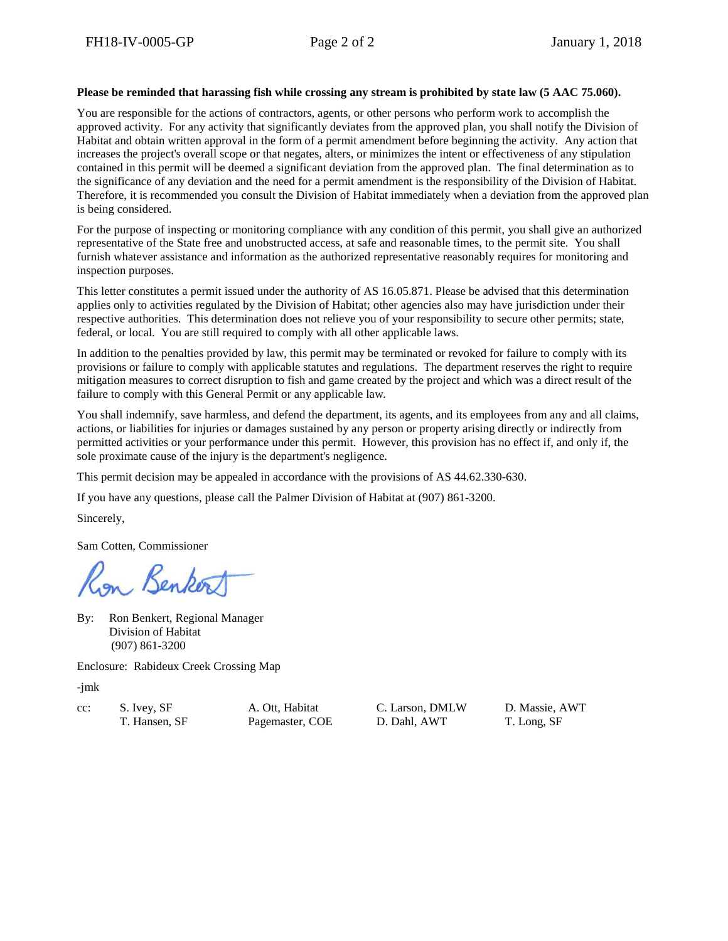### **Please be reminded that harassing fish while crossing any stream is prohibited by state law (5 AAC 75.060).**

You are responsible for the actions of contractors, agents, or other persons who perform work to accomplish the approved activity. For any activity that significantly deviates from the approved plan, you shall notify the Division of Habitat and obtain written approval in the form of a permit amendment before beginning the activity. Any action that increases the project's overall scope or that negates, alters, or minimizes the intent or effectiveness of any stipulation contained in this permit will be deemed a significant deviation from the approved plan. The final determination as to the significance of any deviation and the need for a permit amendment is the responsibility of the Division of Habitat. Therefore, it is recommended you consult the Division of Habitat immediately when a deviation from the approved plan is being considered.

For the purpose of inspecting or monitoring compliance with any condition of this permit, you shall give an authorized representative of the State free and unobstructed access, at safe and reasonable times, to the permit site. You shall furnish whatever assistance and information as the authorized representative reasonably requires for monitoring and inspection purposes.

This letter constitutes a permit issued under the authority of AS 16.05.871. Please be advised that this determination applies only to activities regulated by the Division of Habitat; other agencies also may have jurisdiction under their respective authorities. This determination does not relieve you of your responsibility to secure other permits; state, federal, or local. You are still required to comply with all other applicable laws.

In addition to the penalties provided by law, this permit may be terminated or revoked for failure to comply with its provisions or failure to comply with applicable statutes and regulations. The department reserves the right to require mitigation measures to correct disruption to fish and game created by the project and which was a direct result of the failure to comply with this General Permit or any applicable law.

You shall indemnify, save harmless, and defend the department, its agents, and its employees from any and all claims, actions, or liabilities for injuries or damages sustained by any person or property arising directly or indirectly from permitted activities or your performance under this permit. However, this provision has no effect if, and only if, the sole proximate cause of the injury is the department's negligence.

This permit decision may be appealed in accordance with the provisions of AS 44.62.330-630.

If you have any questions, please call the Palmer Division of Habitat at (907) 861-3200.

Sincerely,

Sam Cotten, Commissioner

n Benko

By: Ron Benkert, Regional Manager Division of Habitat (907) 861-3200

Enclosure: Rabideux Creek Crossing Map

-jmk

cc: S. Ivey, SF A. Ott, Habitat C. Larson, DMLW D. Massie, AWT

T. Hansen, SF Pagemaster, COE D. Dahl, AWT T. Long, SF